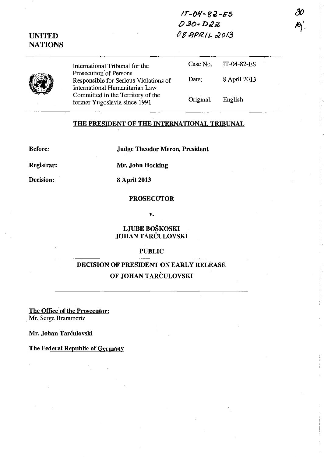$17 - 04 - 82 - 55$  $D30 - D22$ ~8 */JPR.II.- 02013* 

## UNITED **NATIONS**

**(1)** 

International Tribunal for the Prosecution of Persons Responsible for Serious Violations of International Humanitarian Law Committed in the Territory of the former Yugoslavia since 1991

| Case No.  | IT-04-82-ES  |
|-----------|--------------|
| Date:     | 8 April 2013 |
| Original: | English      |

### THE PRESIDENT OF THE INTERNATIONAL TRIBUNAL

Before:

Judge Theodor Meron, President

Registrar:

Decision:

8 April 2013

Mr. John Hocking

# PROSECUTOR

v.

LJUBE BOSKOSKI JOHAN TARCULOVSKI

#### PUBLIC

# DECISION OF PRESIDENT ON EARLY RELEASE OF JOHAN TARCULOVSKI

The Office of the Prosecutor: Mr. Serge Brammertz

Mr. Johan Tarčulovski

The Federal Republic of Germany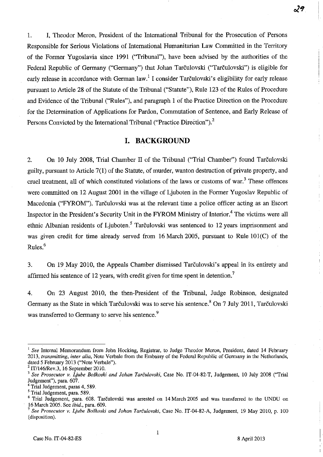1. I, Theodor Meron, President of the International Tribunal for the Prosecution of Persons Responsible for Serious Violations of International Humanitarian Law Committed in the Territory of the Former Yugoslavia since 1991 ("Tribunal"), have been advised by the authorities of the Federal Republic of Germany ("Germany") that Johan Tarčulovski ("Tarčulovski") is eligible for early release in accordance with German law.<sup>1</sup> I consider Tarculovski's eligibility for early release pursuant to Article 28 of the Statute of the Tribunal ("Statute"), Rule 123 of the Rules of Procedure and Evidence of the Tribunal ("Rules"), and paragraph 1 of the Practice Direction on the Procedure for the Determination of Applications for Pardon, Commutation of Sentence, and Early Release of Persons Convicted by the International Tribunal ("Practice Direction").<sup>2</sup>

## **I. BACKGROUND**

2. On 10 July 2008, Trial Chamber II of the Tribunal ("Trial Chamber") found Tarčulovski guilty, pursuant to Article 7(1) of the Statute, of murder, wanton destruction of private property, and cruel treatment, all of which constituted violations of the laws or customs of war. 3 These offences were committed on 12 August 2001 in the village of Ljuboten in the Former Yugoslav Republic of Macedonia ("FYROM"). Tarčulovski was at the relevant time a police officer acting as an Escort Inspector in the President's Security Unit in the FYROM Ministry of Interior.<sup>4</sup> The victims were all ethnic Albanian residents of Ljuboten.<sup>5</sup> Tarčulovski was sentenced to 12 years imprisonment and was given credit for time already served from 16 March 2005, pursuant to Rule 101(C) of the Rules.<sup>6</sup>

3. On 19 May 2010, the Appeals Chamber dismissed Tarculovski's appeal in its entirety and affirmed his sentence of 12 years, with credit given for time spent in detention.<sup>7</sup>

4. On 23 August 2010, the then-President of the Tribunal, Judge Robinson, designated Germany as the State in which Tarčulovski was to serve his sentence.<sup>8</sup> On 7 July 2011, Tarčulovski was transferred to Germany to serve his sentence.<sup>9</sup>

<sup>&</sup>lt;sup>1</sup> See Internal Memorandum from John Hocking, Registrar, to Judge Theodor Meron, President, dated 14 February *2013, transmitting, inter alia,* Note Verbale from the Embassy of the Federal Republic of Germany in the Netherlands, dated 5 February 2013 ("Note Verbale"). 2 IT/146/Rev.3, 16 September 2010.

<sup>3</sup>*See Prosecutor v. Ljube Boskoski and lohan Tarculovski,* Case No. IT-04-82-T, Judgement, 10 July 2008 ("Trial Judgement"), para. 607.

<sup>4</sup> Trial Judgement, paras 4, 589.

<sup>&</sup>lt;sup>5</sup> Trial Judgement, para. 589.

 $6$  Trial Judgement, para. 608. Tarčulovski was arrested on 14 March 2005 and was transferred to the UNDU on 16 March 2005. See *ibid.,* para. 609.

<sup>7</sup>*See Prosecutor v. Ljube Boskoski and lohan Tarculovski,* Case No. IT-04-82-A, Judgement, 19 May 2010, p. 100 (disposition).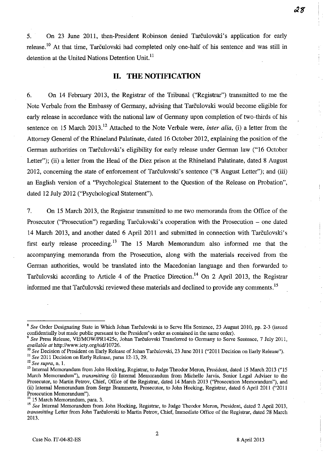5. On 23 June 2011, then-President Robinson denied Tarculovski's application for early release.<sup>10</sup> At that time, Tarčulovski had completed only one-half of his sentence and was still in detention at the United Nations Detention Unit.<sup>11</sup>

## **11. THE NOTIFICATION**

6. On 14 February 2013, the Registrar of the Tribunal ("Registrar") transmitted to me the Note Verbale from the Embassy of Germany, advising that Tarculovski would become eligible for early release in accordance with the national law of Germany upon completion of two-thirds of his sentence on 15 March 2013.<sup>12</sup> Attached to the Note Verbale were, *inter alia*, *(i)* a letter from the Attorney General of the Rhineland Palatinate, dated 16 October 2012, explaining the position of the German authorities on Tarčulovski's eligibility for early release under German law ("16 October Letter"); (ii) a letter from the Head of the Diez prison at the Rhineland Palatinate, dated 8 August 2012, concerning the state of enforcement of Tarčulovski's sentence ("8 August Letter"); and (iii) an English version of a "Psychological Statement to the Question of the Release on Probation", dated 12 July 2012 ("Psychological Statement").

7. On 15 March 2013, the Registrar transmitted to me two memoranda from the Office of the Prosecutor ("Prosecution") regarding Tarčulovski's cooperation with the Prosecution – one dated 14 March 2013, and another dated 6 April 2011 and submitted in connection with Tarculovski's first early release proceeding.<sup>13</sup> The 15 March Memorandum also informed me that the accompanying memoranda from the Prosecution, along with the materials received from the German authorities, would be translated into the Macedonian language and then forwarded to Tarčulovski according to Article 4 of the Practice Direction.<sup>14</sup> On 2 April 2013, the Registrar informed me that Tarculovski reviewed these materials and declined to provide any comments.<sup>15</sup>

<sup>10</sup> See Decision of President on Early Release of Johan Tarculovski, 23 June 2011 ("2011 Decision on Early Release").

<sup>8</sup>*See* Order Designating State in Which Johan Tarculovski is to Serve His Sentence, 23 August 2010, pp. 2-3 (issued confidentially but made public pursuant to the President's order as contained in the same order).

*<sup>9</sup> See* Press Release, VEIMOWIPR1425e, Johan Tarculovski Transferred to Germany to Serve Sentence, 7 July 2011, *available at* http://www.icty.org/sidJlO726.

<sup>11</sup>*See* 2011 Decision on Early Release, paras 12-13, 29.

**<sup>12</sup>***See supra,* **n. 1.** 

<sup>&</sup>lt;sup>13</sup> Internal Memorandum from John Hocking, Registrar, to Judge Theodor Meron, President, dated 15 March 2013 ("15 March Memorandum"), *transmitting* (i) Internal Memorandum from Michelle Jarvis, Senior Legal Adviser to the Prosecutor, to Martin Petrov, Chief, Office of the Registrar, dated 14 March 2013 ("Prosecution Memorandum"), and (ii) Internal Memorandum from Serge Brammertz, Prosecutor, to John Hocking, Registrar, dated 6 April 2011 ("2011 **Prosecution Memorandum"),** 

<sup>15</sup> March Memorandum, para. 3.

<sup>15</sup>*See* Internal Memorandum from John Hocking, Registrar, to Judge Theodor Meron, President, dated 2 April 2013, transmitting Letter from John Tarčulovski to Martin Petrov, Chief, Immediate Office of the Registrar, dated 28 March 2013.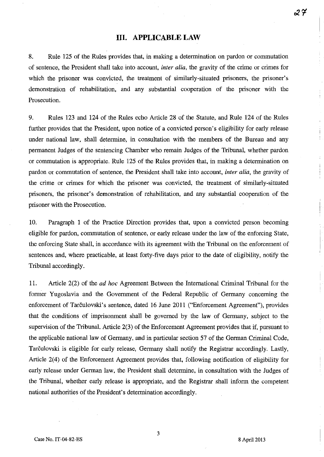### **Ill. APPLICABLE LAW**

8. Rule 125 of the Rules provides that, in making a determination on pardon or commutation of sentence, the President shall take into account, *inter alia,* the gravity of the crime or crimes for which the prisoner was convicted, the treatment of similarly-situated prisoners, the prisoner's demonstration of rehabilitation, and any substantial cooperation of the prisoner with the Prosecution.

9. Rules 123 and 124 of the Rules echo Article 28 of the Statute, and Rule 124 of the Rules further provides that the President, upon notice of a convicted person's eligibility for early release under national law, shall determine, in consultation with the members of the Bureau and any permanent Judges of the sentencing Chamber who remain Judges of the Tribunal, whether pardon or commutation is appropriate. Rule 125 of the Rules provides that, in making a determination on pardon or commutation of sentence, the President shall take into account, *inter alia,* the gravity of the crime or crimes for which the prisoner was convicted, the treatment of similarly-situated prisoners, the prisoner's demonstration of rehabilitation, and any substantial cooperation of the prisoner with the Prosecution.

10. Paragraph 1 of the Practice Direction provides that, upon a convicted person becoming eligible for pardon, commutation of sentence, or early release under the law of the enforcing State, the enforcing State shall, in accordance with its agreement with the Tribunal on the enforcement of sentences and, where practicable, at least forty-five days prior to the date of eligibility, notify the Tribunal accordingly.

11. Article 2(2) of the *ad hoc* Agreement Between the International Criminal Tribunal for the former Yugoslavia and the Government of the Federal Republic of Germany concerning the enforcement of Tarčulovski's sentence, dated 16 June 2011 ("Enforcement Agreement"), provides that the conditions of imprisonment shall be governed by the law of Germany, subject to the supervision of the Tribunal. Article 2(3) of the Enforcement Agreement provides that if, pursuant to the applicable national law of Germany, and in particular section 57 of the German Criminal Code, Tarčulovski is eligible for early release, Germany shall notify the Registrar accordingly. Lastly, Article 2(4) of the Enforcement Agreement provides that, following notification of eligibility for early release under German law, the President shall determine, in consultation with the Judges of the Tribunal, whether early release is appropriate, and the Registrar shall inform the competent national authorities of the President's detennination accordingly.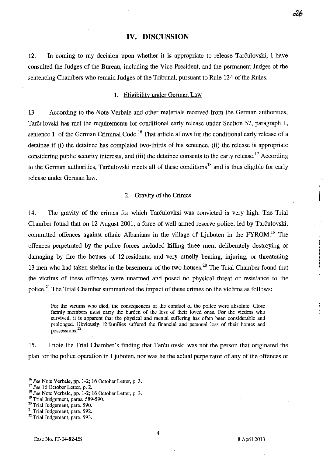### **IV. DISCUSSION**

12. In coming to my decision upon whether it is appropriate to release Tarculovski, I have consulted the Judges of the Bureau, including the Vice-President, and the permanent Judges of the sentencing Chambers who remain Judges of the Tribunal, pursuant to Rule 124 of the Rules.

#### 1. Eligibility under German Law

13. According to the Note Verbale and other materials received from the German authorities, Tarculovski has met the requirements for conditional early release under Section 57, paragraph I, sentence 1 of the German Criminal Code.<sup>16</sup> That article allows for the conditional early release of a detainee if (i) the detainee has completed two-thirds of his sentence, (ii) the release is appropriate considering public security interests, and (iii) the detainee consents to the early release.<sup>17</sup> According to the German authorities, Tarculovski meets all of these conditions<sup>18</sup> and is thus eligible for early release under German law.

#### 2. Gravity of the Crimes

14. The gravity of the crimes for which Tarculovksi was convicted is very high. The Trial Chamber found that on 12 August 2001, a force of well-armed reserve police, led by Tarčulovski, committed offences against ethnic Albanians in the village of Ljuboten in the FYROM.<sup>19</sup> The offences perpetrated by the police forces included killing three men; deliberately destroying or damaging by fire the houses of 12 residents; and very cruelly beating, injuring, or threatening 13 men who had taken shelter in the basements of the two houses,<sup>20</sup> The Trial Chamber found that the victims of these offences were unarmed and posed no physical threat or resistance to the police.<sup>21</sup> The Trial Chamber summarized the impact of these crimes on the victims as follows:

For the victims who died, the consequences of the conduct of the police were absolute. Close family members must carry the burden of the loss of their loved ones. For the victims who survived, it is apparent that the physical and mental suffering has often been considerable and prolonged. Obviously 12 families suffered the financial and personal loss of their homes and **possessions.<sup>22</sup>**

15. I note the Trial Chamber's finding that Tarculovski was not the person that originated the plan for the police operation in Ljuboten, nor was he the actual perpetrator of any of the offences or

*<sup>16</sup> See* Note Verbale, pp. 1-2; 16 October Letter, p. 3.

<sup>17</sup>*See* 16 October Letter, p. 2.

<sup>18</sup>*See* Note Verbale, pp. 1-2; 16 October Letter, p. 3.

<sup>&</sup>lt;sup>19</sup> Trial Judgement, paras. 589-590.

<sup>&</sup>lt;sup>20</sup> Trial Judgement, para. 590.

<sup>&</sup>lt;sup>21</sup> Trial Judgement, para. 592.

<sup>&</sup>lt;sup>22</sup> Trial Judgement, para. 593.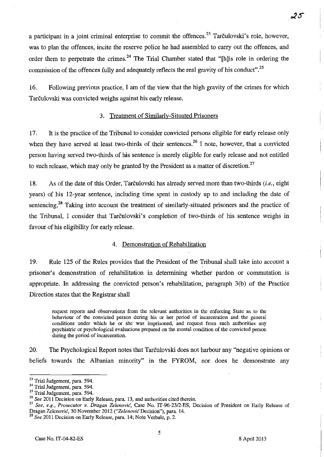a participant in a joint criminal enterprise to commit the offences.<sup>23</sup> Tarčulovski's role, however, was to plan the offences, incite the reserve police he had assembled to carry out the offences, and order them to perpetrate the crimes.<sup>24</sup> The Trial Chamber stated that "[h] is role in ordering the commission of the offences fully and adequately reflects the real gravity of his conduct".<sup>25</sup>

16. Following previous practice, I am of the view that the high gravity of the crimes for which Tarčulovski was convicted weighs against his early release.

#### 3. Treatment of Similarly-Situated Prisoners

17. It is the practice of the Tribunal to consider convicted persons eligible for early release only when they have served at least two-thirds of their sentences.<sup>26</sup> I note, however, that a convicted person having served two-thirds of his sentence is merely eligible for early release and not entitled to such release, which may only be granted by the President as a matter of discretion. $^{27}$ 

18. As of the date of this Order, Tarculovski has already served more than two-thirds *(i.e.,* eight years) of his 12-year sentence, including time spent in custody up to and including the date of sentencing.<sup>28</sup> Taking into account the treatment of similarly-situated prisoners and the practice of the Tribunal, I consider that Tarculovski's completion of two-thirds of his sentence weighs in favour of his eligibility for early release.

#### 4. Demonstration of Rehabilitation

19. Rule 125 of the Rules provides that the President of the Tribunal shall take into account a prisoner's demonstration of rehabilitation in determining whether pardon or commutation is appropriate. In addressing the convicted person's rehabilitation, paragraph 3(b) of the Practice Direction states that the Registrar shall

request reports and observations from the relevant authorities in the enforcing State as to the behaviour of the convicted person during his or her period of incarceration and the general **conditions under which he or she was imprisoned, and request from such authorities any**  psychiatric or psychological evaluations prepared on the mental condition of the convicted person during the period of incarceration.

20. The Psychological Report notes that Tarčulovski does not harbour any "negative opinions or beliefs towards the Albanian minority" in the FYROM, nor does he demonstrate any

<sup>27</sup>*See, e.g., Prosecutor* v. *Dragan Zelenovic,* Case No. IT-96-23/2-ES, Decision of President on Early Release of Dragan Zeienovic, 30 November 2012 *("ZelenovicDecision"),* para. i4.

 $\mathcal{L}_{\mathrm{max}}$ 

<sup>23</sup> Trial Judgement, para. 594.

<sup>&</sup>lt;sup>24</sup> Trial Judgement, para. 594.

 $25$  Trial Judgement, para. 594.

<sup>&</sup>lt;sup>26</sup> See 2011 Decision on Early Release, para. 13, and authorities cited therein.

<sup>28</sup>*See* 2011 Decision on Eariy Reiease, para. i4; Note Verbale, p. 2.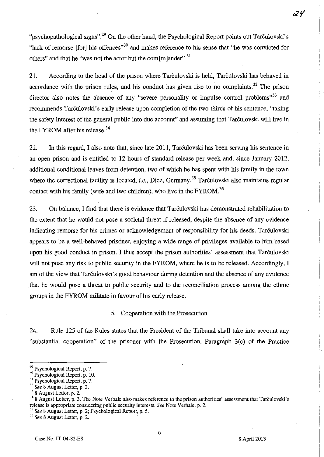24

"psychopathological signs", $^{29}$  On the other hand, the Psychological Report points out Tarculovski's "lack of remorse [for] his offences"<sup>30</sup> and makes reference to his sense that "he was convicted for others" and that he "was not the actor but the com $[m]$ ander".<sup>31</sup>

21. According to the head of the prison where Tarculovski is held, Tarculovski has behaved in accordance with the prison rules, and his conduct has given rise to no complaints.<sup>32</sup> The prison director also notes the absence of any "severe personality or impulse control problems"<sup>33</sup> and recommends Tarculovski's early release upon completion of the two-thirds of his sentence, "taking the safety interest of the general public into due account" and assuming that Tarculovski will live in the FYROM after his release.<sup>34</sup>

22. In this regard, I also note that, since late 2011, Tarculovski has been serving his sentence in an open prison and is entitled to 12 hours of standard release per week and, since January 2012, additional conditional leaves from detention, two of which he has spent with his family in the town where the correctional facility is located, *i.e.*, Diez, Germany.<sup>35</sup> Tarčulovski also maintains regular contact with his family (wife and two children), who live in the  $FYROM$ <sup>36</sup>

23. On balance, I find that there is evidence that Tarculovski has demonstrated rehabilitation to the extent that he would not pose a societal threat if released, despite the absence of any evidence indicating remorse for his crimes or acknowledgement of responsibility for his deeds. Tarčulovski appears to be a well-behaved prisoner, enjoying a wide range of privileges available to him based upon his good conduct in prison. I thus accept the prison authorities' assessment that Tarculovski will not pose any risk to public security in the FYROM, where he is to be released. Accordingly, I am of the view that Tarčulovski's good behaviour during detention and the absence of any evidence that he would pose a threat to public security and to the reconciliation process among the ethnic groups in the FYROM militate in favour of his early release.

#### 5. Cooperation with the Prosecution

24. Rule 125 of the Rules states that the President of the Tribunal shall take into account any "substantial cooperation" of the prisoner with the Prosecution. Paragraph 3(c) of the Practice

*36 See* 8 August Letter, p. 2.

<sup>&</sup>lt;sup>29</sup> Psychological Report, p. 7.

<sup>&</sup>lt;sup>30</sup> Psychological Report, p. 10.

<sup>&</sup>lt;sup>31</sup> Psychological Report, p. 7.

<sup>32</sup>*See* 8 August Letter, p. 2.

<sup>8</sup> August Letter, p. 2.<br>8 August Letter, p. 3. The Note Verbale also makes reference to the prison authorities' assessment that Tarculovski's release is appropriate considering public security interests. *See* Note Verbale, p. 2.

<sup>35</sup>*See* 8 August Letter, p. 2; Psychological Report, p. 5.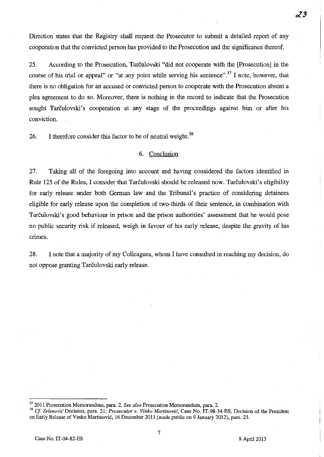Direction states that the Registry shall request the Prosecutor to submit a detailed report of any cooperation that the convicted person has provided to the Prosecution and the significance thereof.

25. According to the Prosecution, Tarculovski "did not cooperate with the [Prosecution] in the course of his trial or appeal" or "at any point while serving his sentence".<sup>37</sup> I note, however, that there is no obligation for an accused or convicted person to cooperate with the Prosecution absent a plea agreement to do so. Moreover, there is nothing in the record to indicate that the Prosecution sought Tarculovski's cooperation at any stage of the proceedings against him or after his conviction.

26. I therefore consider this factor to be of neutral weight.<sup>38</sup>

#### 6. Conclusion

27. Taking all of the foregoing into account and having considered the factors identified in Rule 125 of the Rules, I consider that Tarčulovski should be released now. Tarčulovski's eligibility for early release under both German law and the Tribunal's practice of considering detainees eligible for early release upon the completion of two-thirds of their sentence, in combination with Tarculovski's good behaviour in prison and the prison authorities' assessment that he would pose no public security risk if released, weigh in favour of his early release, despite the gravity of his crimes.

28. I note that a majority of my Colleagues, whom J have consulted in reaching my decision, do not oppose granting Tarčulovski early release.

 $\mathcal{Z} \mathcal{Z}$ 

<sup>37 2011</sup> Prosecution Memorandum, para. 2. *See also* Prosecution Memorandum, para. 2.

<sup>38</sup>*et Zelenovic* Decision, para. 21; *Prosecutor* v. *Vinko Martinovic,* Case No. IT-98-34-ES, Decision of the President on Early Release of Vinko Martinovic, 16 December 2011 (made public on 9 January 2012), para. 23.